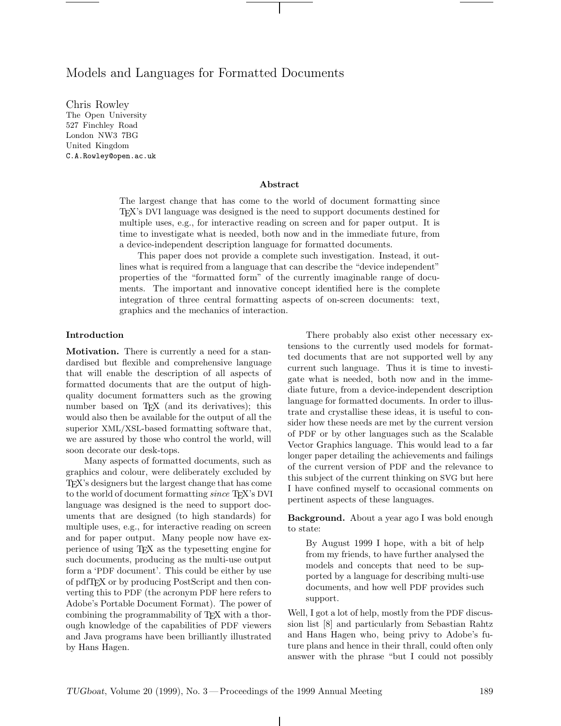# Models and Languages for Formatted Documents

Chris Rowley The Open University 527 Finchley Road London NW3 7BG United Kingdom C.A.Rowley@open.ac.uk

## **Abstract**

The largest change that has come to the world of document formatting since TEX's DVI language was designed is the need to support documents destined for multiple uses, e.g., for interactive reading on screen and for paper output. It is time to investigate what is needed, both now and in the immediate future, from a device-independent description language for formatted documents.

This paper does not provide a complete such investigation. Instead, it outlines what is required from a language that can describe the "device independent" properties of the "formatted form" of the currently imaginable range of documents. The important and innovative concept identified here is the complete integration of three central formatting aspects of on-screen documents: text, graphics and the mechanics of interaction.

## **Introduction**

**Motivation.** There is currently a need for a standardised but flexible and comprehensive language that will enable the description of all aspects of formatted documents that are the output of highquality document formatters such as the growing number based on T<sub>F</sub>X (and its derivatives); this would also then be available for the output of all the superior XML/XSL-based formatting software that, we are assured by those who control the world, will soon decorate our desk-tops.

Many aspects of formatted documents, such as graphics and colour, were deliberately excluded by TEX's designers but the largest change that has come to the world of document formatting *since* T<sub>E</sub>X's DVI language was designed is the need to support documents that are designed (to high standards) for multiple uses, e.g., for interactive reading on screen and for paper output. Many people now have experience of using TEX as the typesetting engine for such documents, producing as the multi-use output form a 'PDF document'. This could be either by use of pdfTEX or by producing PostScript and then converting this to PDF (the acronym PDF here refers to Adobe's Portable Document Format). The power of combining the programmability of TEX with a thorough knowledge of the capabilities of PDF viewers and Java programs have been brilliantly illustrated by Hans Hagen.

There probably also exist other necessary extensions to the currently used models for formatted documents that are not supported well by any current such language. Thus it is time to investigate what is needed, both now and in the immediate future, from a device-independent description language for formatted documents. In order to illustrate and crystallise these ideas, it is useful to consider how these needs are met by the current version of PDF or by other languages such as the Scalable Vector Graphics language. This would lead to a far longer paper detailing the achievements and failings of the current version of PDF and the relevance to this subject of the current thinking on SVG but here I have confined myself to occasional comments on pertinent aspects of these languages.

**Background.** About a year ago I was bold enough to state:

By August 1999 I hope, with a bit of help from my friends, to have further analysed the models and concepts that need to be supported by a language for describing multi-use documents, and how well PDF provides such support.

Well, I got a lot of help, mostly from the PDF discussion list [8] and particularly from Sebastian Rahtz and Hans Hagen who, being privy to Adobe's future plans and hence in their thrall, could often only answer with the phrase "but I could not possibly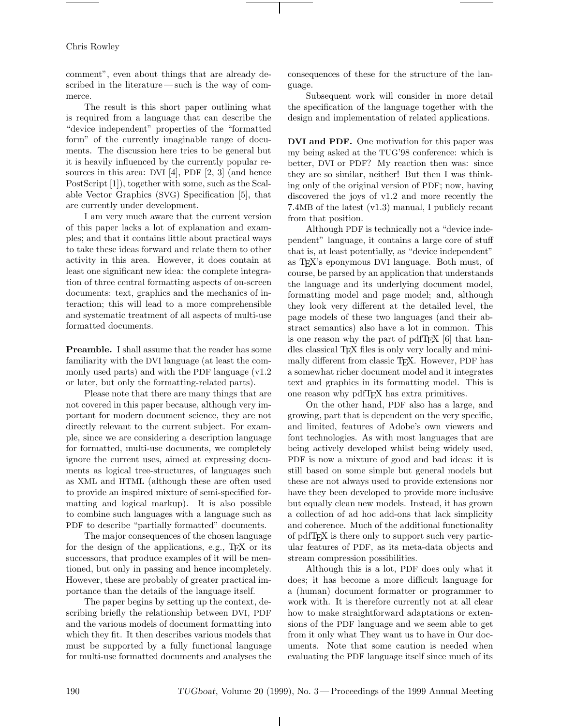Chris Rowley

comment", even about things that are already described in the literature— such is the way of commerce.

The result is this short paper outlining what is required from a language that can describe the "device independent" properties of the "formatted form" of the currently imaginable range of documents. The discussion here tries to be general but it is heavily influenced by the currently popular resources in this area: DVI [4], PDF [2, 3] (and hence PostScript [1]), together with some, such as the Scalable Vector Graphics (SVG) Specification [5], that are currently under development.

I am very much aware that the current version of this paper lacks a lot of explanation and examples; and that it contains little about practical ways to take these ideas forward and relate them to other activity in this area. However, it does contain at least one significant new idea: the complete integration of three central formatting aspects of on-screen documents: text, graphics and the mechanics of interaction; this will lead to a more comprehensible and systematic treatment of all aspects of multi-use formatted documents.

**Preamble.** I shall assume that the reader has some familiarity with the DVI language (at least the commonly used parts) and with the PDF language (v1.2 or later, but only the formatting-related parts).

Please note that there are many things that are not covered in this paper because, although very important for modern document science, they are not directly relevant to the current subject. For example, since we are considering a description language for formatted, multi-use documents, we completely ignore the current uses, aimed at expressing documents as logical tree-structures, of languages such as XML and HTML (although these are often used to provide an inspired mixture of semi-specified formatting and logical markup). It is also possible to combine such languages with a language such as PDF to describe "partially formatted" documents.

The major consequences of the chosen language for the design of the applications, e.g., T<sub>E</sub>X or its successors, that produce examples of it will be mentioned, but only in passing and hence incompletely. However, these are probably of greater practical importance than the details of the language itself.

The paper begins by setting up the context, describing briefly the relationship between DVI, PDF and the various models of document formatting into which they fit. It then describes various models that must be supported by a fully functional language for multi-use formatted documents and analyses the consequences of these for the structure of the language.

Subsequent work will consider in more detail the specification of the language together with the design and implementation of related applications.

**DVI and PDF.** One motivation for this paper was my being asked at the TUG'98 conference: which is better, DVI or PDF? My reaction then was: since they are so similar, neither! But then I was thinking only of the original version of PDF; now, having discovered the joys of v1.2 and more recently the 7.4MB of the latest (v1.3) manual, I publicly recant from that position.

Although PDF is technically not a "device independent" language, it contains a large core of stuff that is, at least potentially, as "device independent" as TEX's eponymous DVI language. Both must, of course, be parsed by an application that understands the language and its underlying document model, formatting model and page model; and, although they look very different at the detailed level, the page models of these two languages (and their abstract semantics) also have a lot in common. This is one reason why the part of pdfTEX [6] that handles classical TEX files is only very locally and minimally different from classic TEX. However, PDF has a somewhat richer document model and it integrates text and graphics in its formatting model. This is one reason why pdfTEX has extra primitives.

On the other hand, PDF also has a large, and growing, part that is dependent on the very specific, and limited, features of Adobe's own viewers and font technologies. As with most languages that are being actively developed whilst being widely used, PDF is now a mixture of good and bad ideas: it is still based on some simple but general models but these are not always used to provide extensions nor have they been developed to provide more inclusive but equally clean new models. Instead, it has grown a collection of ad hoc add-ons that lack simplicity and coherence. Much of the additional functionality of pdfTEX is there only to support such very particular features of PDF, as its meta-data objects and stream compression possibilities.

Although this is a lot, PDF does only what it does; it has become a more difficult language for a (human) document formatter or programmer to work with. It is therefore currently not at all clear how to make straightforward adaptations or extensions of the PDF language and we seem able to get from it only what They want us to have in Our documents. Note that some caution is needed when evaluating the PDF language itself since much of its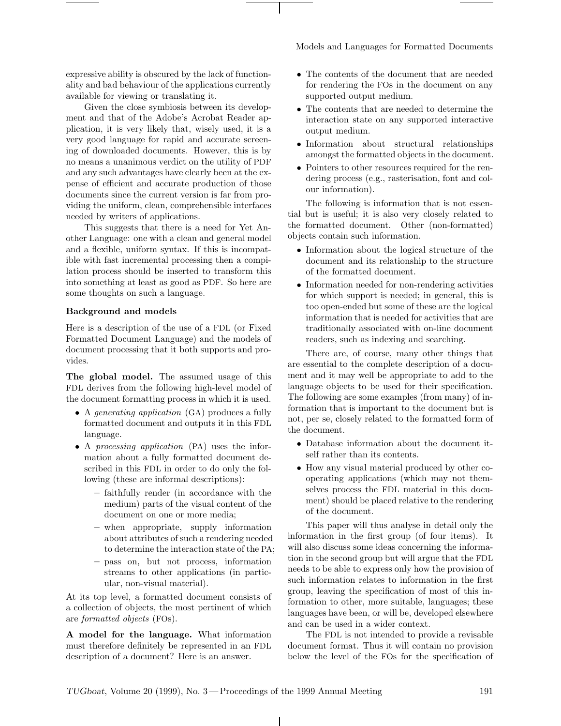Models and Languages for Formatted Documents

expressive ability is obscured by the lack of functionality and bad behaviour of the applications currently available for viewing or translating it.

Given the close symbiosis between its development and that of the Adobe's Acrobat Reader application, it is very likely that, wisely used, it is a very good language for rapid and accurate screening of downloaded documents. However, this is by no means a unanimous verdict on the utility of PDF and any such advantages have clearly been at the expense of efficient and accurate production of those documents since the current version is far from providing the uniform, clean, comprehensible interfaces needed by writers of applications.

This suggests that there is a need for Yet Another Language: one with a clean and general model and a flexible, uniform syntax. If this is incompatible with fast incremental processing then a compilation process should be inserted to transform this into something at least as good as PDF. So here are some thoughts on such a language.

## **Background and models**

Here is a description of the use of a FDL (or Fixed Formatted Document Language) and the models of document processing that it both supports and provides.

**The global model.** The assumed usage of this FDL derives from the following high-level model of the document formatting process in which it is used.

- A *generating application* (GA) produces a fully formatted document and outputs it in this FDL language.
- A *processing application* (PA) uses the information about a fully formatted document described in this FDL in order to do only the following (these are informal descriptions):
	- **–** faithfully render (in accordance with the medium) parts of the visual content of the document on one or more media;
	- **–** when appropriate, supply information about attributes of such a rendering needed to determine the interaction state of the PA;
	- **–** pass on, but not process, information streams to other applications (in particular, non-visual material).

At its top level, a formatted document consists of a collection of objects, the most pertinent of which are *formatted objects* (FOs).

**A model for the language.** What information must therefore definitely be represented in an FDL description of a document? Here is an answer.

- The contents of the document that are needed for rendering the FOs in the document on any supported output medium.
- The contents that are needed to determine the interaction state on any supported interactive output medium.
- Information about structural relationships amongst the formatted objects in the document.
- Pointers to other resources required for the rendering process (e.g., rasterisation, font and colour information).

The following is information that is not essential but is useful; it is also very closely related to the formatted document. Other (non-formatted) objects contain such information.

- Information about the logical structure of the document and its relationship to the structure of the formatted document.
- Information needed for non-rendering activities for which support is needed; in general, this is too open-ended but some of these are the logical information that is needed for activities that are traditionally associated with on-line document readers, such as indexing and searching.

There are, of course, many other things that are essential to the complete description of a document and it may well be appropriate to add to the language objects to be used for their specification. The following are some examples (from many) of information that is important to the document but is not, per se, closely related to the formatted form of the document.

- Database information about the document itself rather than its contents.
- How any visual material produced by other cooperating applications (which may not themselves process the FDL material in this document) should be placed relative to the rendering of the document.

This paper will thus analyse in detail only the information in the first group (of four items). It will also discuss some ideas concerning the information in the second group but will argue that the FDL needs to be able to express only how the provision of such information relates to information in the first group, leaving the specification of most of this information to other, more suitable, languages; these languages have been, or will be, developed elsewhere and can be used in a wider context.

The FDL is not intended to provide a revisable document format. Thus it will contain no provision below the level of the FOs for the specification of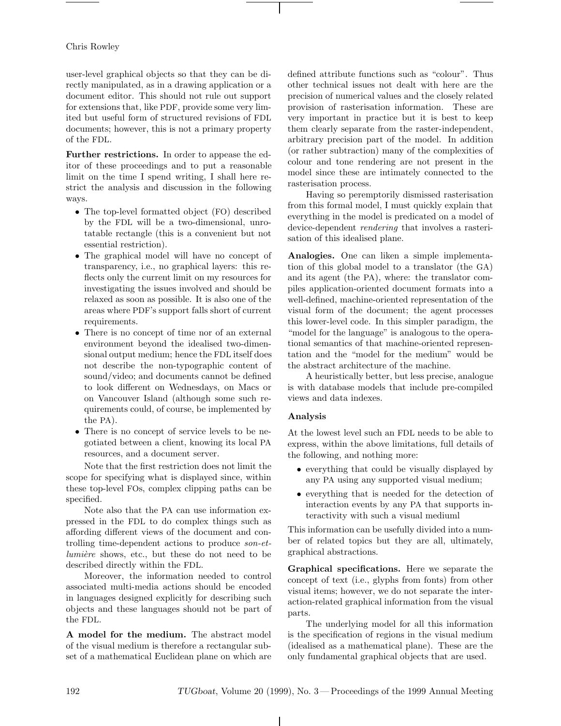## Chris Rowley

user-level graphical objects so that they can be directly manipulated, as in a drawing application or a document editor. This should not rule out support for extensions that, like PDF, provide some very limited but useful form of structured revisions of FDL documents; however, this is not a primary property of the FDL.

**Further restrictions.** In order to appease the editor of these proceedings and to put a reasonable limit on the time I spend writing, I shall here restrict the analysis and discussion in the following ways.

- The top-level formatted object (FO) described by the FDL will be a two-dimensional, unrotatable rectangle (this is a convenient but not essential restriction).
- The graphical model will have no concept of transparency, i.e., no graphical layers: this reflects only the current limit on my resources for investigating the issues involved and should be relaxed as soon as possible. It is also one of the areas where PDF's support falls short of current requirements.
- There is no concept of time nor of an external environment beyond the idealised two-dimensional output medium; hence the FDL itself does not describe the non-typographic content of sound/video; and documents cannot be defined to look different on Wednesdays, on Macs or on Vancouver Island (although some such requirements could, of course, be implemented by the PA).
- There is no concept of service levels to be negotiated between a client, knowing its local PA resources, and a document server.

Note that the first restriction does not limit the scope for specifying what is displayed since, within these top-level FOs, complex clipping paths can be specified.

Note also that the PA can use information expressed in the FDL to do complex things such as affording different views of the document and controlling time-dependent actions to produce *son-etlumière* shows, etc., but these do not need to be described directly within the FDL.

Moreover, the information needed to control associated multi-media actions should be encoded in languages designed explicitly for describing such objects and these languages should not be part of the FDL.

**A model for the medium.** The abstract model of the visual medium is therefore a rectangular subset of a mathematical Euclidean plane on which are defined attribute functions such as "colour". Thus other technical issues not dealt with here are the precision of numerical values and the closely related provision of rasterisation information. These are very important in practice but it is best to keep them clearly separate from the raster-independent, arbitrary precision part of the model. In addition (or rather subtraction) many of the complexities of colour and tone rendering are not present in the model since these are intimately connected to the rasterisation process.

Having so peremptorily dismissed rasterisation from this formal model, I must quickly explain that everything in the model is predicated on a model of device-dependent *rendering* that involves a rasterisation of this idealised plane.

**Analogies.** One can liken a simple implementation of this global model to a translator (the GA) and its agent (the PA), where: the translator compiles application-oriented document formats into a well-defined, machine-oriented representation of the visual form of the document; the agent processes this lower-level code. In this simpler paradigm, the "model for the language" is analogous to the operational semantics of that machine-oriented representation and the "model for the medium" would be the abstract architecture of the machine.

A heuristically better, but less precise, analogue is with database models that include pre-compiled views and data indexes.

### **Analysis**

At the lowest level such an FDL needs to be able to express, within the above limitations, full details of the following, and nothing more:

- everything that could be visually displayed by any PA using any supported visual medium;
- everything that is needed for the detection of interaction events by any PA that supports interactivity with such a visual mediuml

This information can be usefully divided into a number of related topics but they are all, ultimately, graphical abstractions.

**Graphical specifications.** Here we separate the concept of text (i.e., glyphs from fonts) from other visual items; however, we do not separate the interaction-related graphical information from the visual parts.

The underlying model for all this information is the specification of regions in the visual medium (idealised as a mathematical plane). These are the only fundamental graphical objects that are used.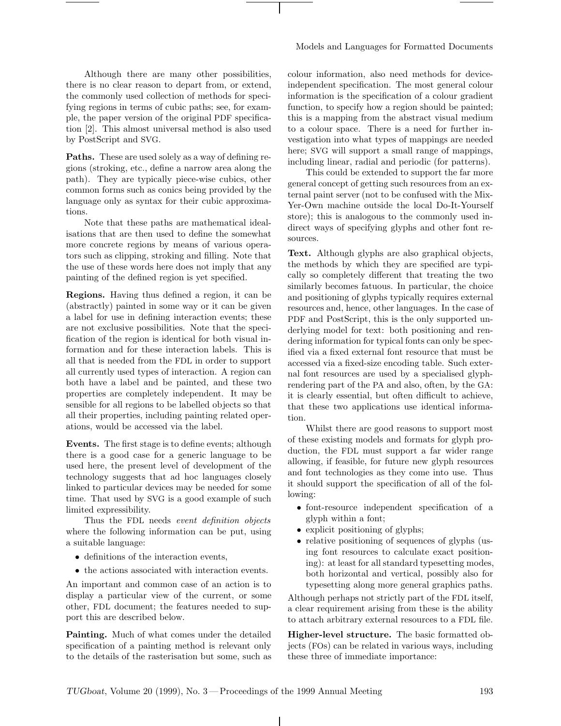Although there are many other possibilities, there is no clear reason to depart from, or extend, the commonly used collection of methods for specifying regions in terms of cubic paths; see, for example, the paper version of the original PDF specification [2]. This almost universal method is also used by PostScript and SVG.

**Paths.** These are used solely as a way of defining regions (stroking, etc., define a narrow area along the path). They are typically piece-wise cubics, other common forms such as conics being provided by the language only as syntax for their cubic approximations.

Note that these paths are mathematical idealisations that are then used to define the somewhat more concrete regions by means of various operators such as clipping, stroking and filling. Note that the use of these words here does not imply that any painting of the defined region is yet specified.

**Regions.** Having thus defined a region, it can be (abstractly) painted in some way or it can be given a label for use in defining interaction events; these are not exclusive possibilities. Note that the specification of the region is identical for both visual information and for these interaction labels. This is all that is needed from the FDL in order to support all currently used types of interaction. A region can both have a label and be painted, and these two properties are completely independent. It may be sensible for all regions to be labelled objects so that all their properties, including painting related operations, would be accessed via the label.

**Events.** The first stage is to define events; although there is a good case for a generic language to be used here, the present level of development of the technology suggests that ad hoc languages closely linked to particular devices may be needed for some time. That used by SVG is a good example of such limited expressibility.

Thus the FDL needs *event definition objects* where the following information can be put, using a suitable language:

- definitions of the interaction events,
- the actions associated with interaction events.

An important and common case of an action is to display a particular view of the current, or some other, FDL document; the features needed to support this are described below.

**Painting.** Much of what comes under the detailed specification of a painting method is relevant only to the details of the rasterisation but some, such as colour information, also need methods for deviceindependent specification. The most general colour information is the specification of a colour gradient function, to specify how a region should be painted; this is a mapping from the abstract visual medium to a colour space. There is a need for further investigation into what types of mappings are needed here; SVG will support a small range of mappings, including linear, radial and periodic (for patterns).

This could be extended to support the far more general concept of getting such resources from an external paint server (not to be confused with the Mix-Yer-Own machine outside the local Do-It-Yourself store); this is analogous to the commonly used indirect ways of specifying glyphs and other font resources.

**Text.** Although glyphs are also graphical objects, the methods by which they are specified are typically so completely different that treating the two similarly becomes fatuous. In particular, the choice and positioning of glyphs typically requires external resources and, hence, other languages. In the case of PDF and PostScript, this is the only supported underlying model for text: both positioning and rendering information for typical fonts can only be specified via a fixed external font resource that must be accessed via a fixed-size encoding table. Such external font resources are used by a specialised glyphrendering part of the PA and also, often, by the GA: it is clearly essential, but often difficult to achieve, that these two applications use identical information.

Whilst there are good reasons to support most of these existing models and formats for glyph production, the FDL must support a far wider range allowing, if feasible, for future new glyph resources and font technologies as they come into use. Thus it should support the specification of all of the following:

- font-resource independent specification of a glyph within a font;
- explicit positioning of glyphs;
- relative positioning of sequences of glyphs (using font resources to calculate exact positioning): at least for all standard typesetting modes, both horizontal and vertical, possibly also for typesetting along more general graphics paths.

Although perhaps not strictly part of the FDL itself, a clear requirement arising from these is the ability to attach arbitrary external resources to a FDL file.

**Higher-level structure.** The basic formatted objects (FOs) can be related in various ways, including these three of immediate importance: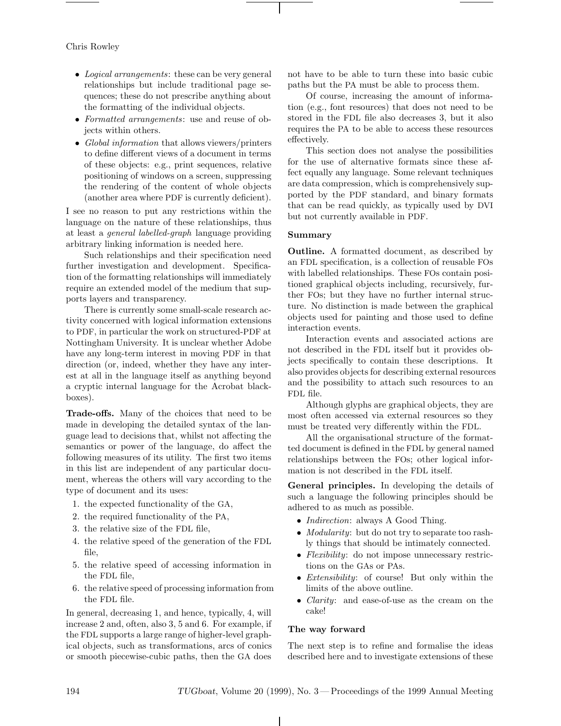Chris Rowley

- *Logical arrangements*: these can be very general relationships but include traditional page sequences; these do not prescribe anything about the formatting of the individual objects.
- *Formatted arrangements*: use and reuse of objects within others.
- *Global information* that allows viewers/printers to define different views of a document in terms of these objects: e.g., print sequences, relative positioning of windows on a screen, suppressing the rendering of the content of whole objects (another area where PDF is currently deficient).

I see no reason to put any restrictions within the language on the nature of these relationships, thus at least a *general labelled-graph* language providing arbitrary linking information is needed here.

Such relationships and their specification need further investigation and development. Specification of the formatting relationships will immediately require an extended model of the medium that supports layers and transparency.

There is currently some small-scale research activity concerned with logical information extensions to PDF, in particular the work on structured-PDF at Nottingham University. It is unclear whether Adobe have any long-term interest in moving PDF in that direction (or, indeed, whether they have any interest at all in the language itself as anything beyond a cryptic internal language for the Acrobat blackboxes).

**Trade-offs.** Many of the choices that need to be made in developing the detailed syntax of the language lead to decisions that, whilst not affecting the semantics or power of the language, do affect the following measures of its utility. The first two items in this list are independent of any particular document, whereas the others will vary according to the type of document and its uses:

- 1. the expected functionality of the GA,
- 2. the required functionality of the PA,
- 3. the relative size of the FDL file,
- 4. the relative speed of the generation of the FDL file,
- 5. the relative speed of accessing information in the FDL file,
- 6. the relative speed of processing information from the FDL file.

In general, decreasing 1, and hence, typically, 4, will increase 2 and, often, also 3, 5 and 6. For example, if the FDL supports a large range of higher-level graphical objects, such as transformations, arcs of conics or smooth piecewise-cubic paths, then the GA does

not have to be able to turn these into basic cubic paths but the PA must be able to process them.

Of course, increasing the amount of information (e.g., font resources) that does not need to be stored in the FDL file also decreases 3, but it also requires the PA to be able to access these resources effectively.

This section does not analyse the possibilities for the use of alternative formats since these affect equally any language. Some relevant techniques are data compression, which is comprehensively supported by the PDF standard, and binary formats that can be read quickly, as typically used by DVI but not currently available in PDF.

# **Summary**

**Outline.** A formatted document, as described by an FDL specification, is a collection of reusable FOs with labelled relationships. These FOs contain positioned graphical objects including, recursively, further FOs; but they have no further internal structure. No distinction is made between the graphical objects used for painting and those used to define interaction events.

Interaction events and associated actions are not described in the FDL itself but it provides objects specifically to contain these descriptions. It also provides objects for describing external resources and the possibility to attach such resources to an FDL file.

Although glyphs are graphical objects, they are most often accessed via external resources so they must be treated very differently within the FDL.

All the organisational structure of the formatted document is defined in the FDL by general named relationships between the FOs; other logical information is not described in the FDL itself.

**General principles.** In developing the details of such a language the following principles should be adhered to as much as possible.

- *Indirection*: always A Good Thing.
- *Modularity*: but do not try to separate too rashly things that should be intimately connected.
- *Flexibility*: do not impose unnecessary restrictions on the GAs or PAs.
- *Extensibility*: of course! But only within the limits of the above outline.
- *Clarity*: and ease-of-use as the cream on the cake!

# **The way forward**

The next step is to refine and formalise the ideas described here and to investigate extensions of these